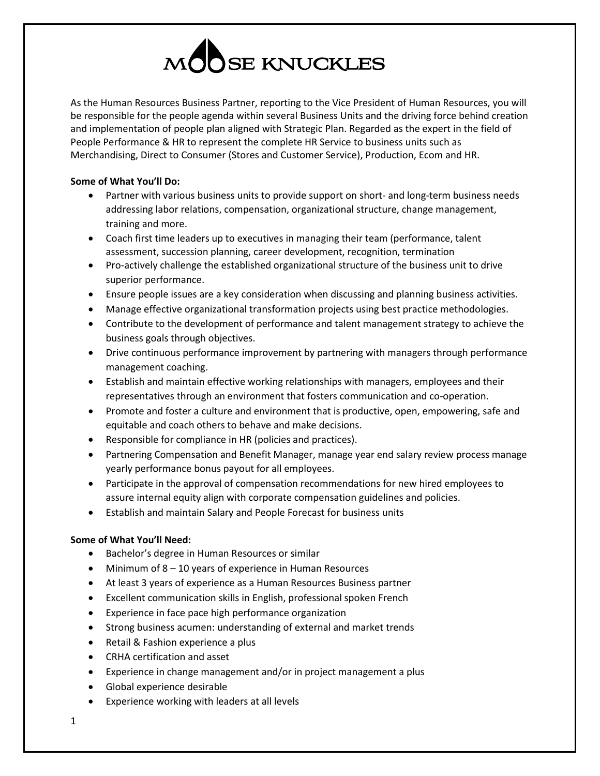

As the Human Resources Business Partner, reporting to the Vice President of Human Resources, you will be responsible for the people agenda within several Business Units and the driving force behind creation and implementation of people plan aligned with Strategic Plan. Regarded as the expert in the field of People Performance & HR to represent the complete HR Service to business units such as Merchandising, Direct to Consumer (Stores and Customer Service), Production, Ecom and HR.

## **Some of What You'll Do:**

- Partner with various business units to provide support on short- and long-term business needs addressing labor relations, compensation, organizational structure, change management, training and more.
- Coach first time leaders up to executives in managing their team (performance, talent assessment, succession planning, career development, recognition, termination
- Pro-actively challenge the established organizational structure of the business unit to drive superior performance.
- Ensure people issues are a key consideration when discussing and planning business activities.
- Manage effective organizational transformation projects using best practice methodologies.
- Contribute to the development of performance and talent management strategy to achieve the business goals through objectives.
- Drive continuous performance improvement by partnering with managers through performance management coaching.
- Establish and maintain effective working relationships with managers, employees and their representatives through an environment that fosters communication and co-operation.
- Promote and foster a culture and environment that is productive, open, empowering, safe and equitable and coach others to behave and make decisions.
- Responsible for compliance in HR (policies and practices).
- Partnering Compensation and Benefit Manager, manage year end salary review process manage yearly performance bonus payout for all employees.
- Participate in the approval of compensation recommendations for new hired employees to assure internal equity align with corporate compensation guidelines and policies.
- Establish and maintain Salary and People Forecast for business units

## **Some of What You'll Need:**

- Bachelor's degree in Human Resources or similar
- Minimum of 8 10 years of experience in Human Resources
- At least 3 years of experience as a Human Resources Business partner
- Excellent communication skills in English, professional spoken French
- Experience in face pace high performance organization
- Strong business acumen: understanding of external and market trends
- Retail & Fashion experience a plus
- CRHA certification and asset
- Experience in change management and/or in project management a plus
- Global experience desirable
- Experience working with leaders at all levels